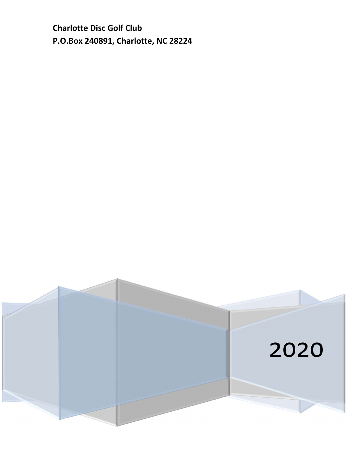**Charlotte Disc Golf Club P.O.Box 240891, Charlotte, NC 28224** 

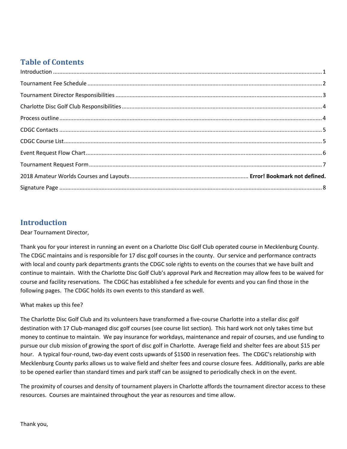## **Table of Contents**

| $\label{lem:1} \mbox{Introduction} \,\, \ldots \,\, \ldots \,\, \ldots \,\, \ldots \,\, \ldots \,\, \ldots \,\, \ldots \,\, \ldots \,\, \ldots \,\, \ldots \,\, \ldots \,\, \ldots \,\, \ldots \,\, \ldots \,\, \ldots \,\, \ldots \,\, \ldots \,\, \ldots \,\, \ldots \,\, \ldots \,\, \ldots \,\, \ldots \,\, \ldots \,\, \ldots \,\, \ldots \,\, \ldots \,\, \ldots \,\, \ldots \,\, \ldots \,\, \ldots \,\, \ldots \,\, \ldots \,\, \ldots \,\, \ldots \,\,$ |  |
|------------------------------------------------------------------------------------------------------------------------------------------------------------------------------------------------------------------------------------------------------------------------------------------------------------------------------------------------------------------------------------------------------------------------------------------------------------------|--|
|                                                                                                                                                                                                                                                                                                                                                                                                                                                                  |  |
|                                                                                                                                                                                                                                                                                                                                                                                                                                                                  |  |
|                                                                                                                                                                                                                                                                                                                                                                                                                                                                  |  |
|                                                                                                                                                                                                                                                                                                                                                                                                                                                                  |  |
|                                                                                                                                                                                                                                                                                                                                                                                                                                                                  |  |
|                                                                                                                                                                                                                                                                                                                                                                                                                                                                  |  |
|                                                                                                                                                                                                                                                                                                                                                                                                                                                                  |  |
|                                                                                                                                                                                                                                                                                                                                                                                                                                                                  |  |
|                                                                                                                                                                                                                                                                                                                                                                                                                                                                  |  |
|                                                                                                                                                                                                                                                                                                                                                                                                                                                                  |  |

### **Introduction**

#### Dear Tournament Director,

Thank you for your interest in running an event on a Charlotte Disc Golf Club operated course in Mecklenburg County. The CDGC maintains and is responsible for 17 disc golf courses in the county. Our service and performance contracts with local and county park departments grants the CDGC sole rights to events on the courses that we have built and continue to maintain. With the Charlotte Disc Golf Club's approval Park and Recreation may allow fees to be waived for course and facility reservations. The CDGC has established a fee schedule for events and you can find those in the following pages. The CDGC holds its own events to this standard as well.

#### What makes up this fee?

The Charlotte Disc Golf Club and its volunteers have transformed a five-course Charlotte into a stellar disc golf destination with 17 Club-managed disc golf courses (see course list section). This hard work not only takes time but money to continue to maintain. We pay insurance for workdays, maintenance and repair of courses, and use funding to pursue our club mission of growing the sport of disc golf in Charlotte. Average field and shelter fees are about \$15 per hour. A typical four-round, two-day event costs upwards of \$1500 in reservation fees. The CDGC's relationship with Mecklenburg County parks allows us to waive field and shelter fees and course closure fees. Additionally, parks are able to be opened earlier than standard times and park staff can be assigned to periodically check in on the event.

The proximity of courses and density of tournament players in Charlotte affords the tournament director access to these resources. Courses are maintained throughout the year as resources and time allow.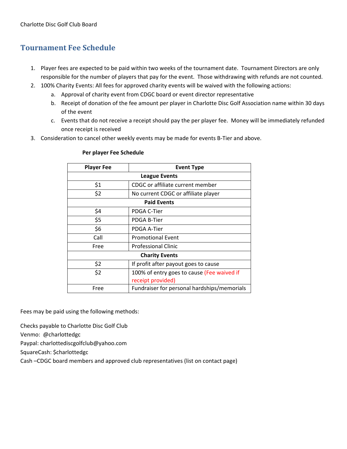## **Tournament Fee Schedule**

- 1. Player fees are expected to be paid within two weeks of the tournament date. Tournament Directors are only responsible for the number of players that pay for the event. Those withdrawing with refunds are not counted.
- 2. 100% Charity Events: All fees for approved charity events will be waived with the following actions:
	- a. Approval of charity event from CDGC board or event director representative
	- b. Receipt of donation of the fee amount per player in Charlotte Disc Golf Association name within 30 days of the event
	- c. Events that do not receive a receipt should pay the per player fee. Money will be immediately refunded once receipt is received
- 3. Consideration to cancel other weekly events may be made for events B-Tier and above.

| <b>Player Fee</b>     | <b>Event Type</b>                           |  |  |  |  |
|-----------------------|---------------------------------------------|--|--|--|--|
|                       | <b>League Events</b>                        |  |  |  |  |
| \$1                   | CDGC or affiliate current member            |  |  |  |  |
| \$2                   | No current CDGC or affiliate player         |  |  |  |  |
|                       | <b>Paid Events</b>                          |  |  |  |  |
| \$4                   | PDGA C-Tier                                 |  |  |  |  |
| \$5                   | PDGA B-Tier                                 |  |  |  |  |
| \$6                   | PDGA A-Tier                                 |  |  |  |  |
| Call                  | <b>Promotional Event</b>                    |  |  |  |  |
| Free                  | <b>Professional Clinic</b>                  |  |  |  |  |
| <b>Charity Events</b> |                                             |  |  |  |  |
| \$2                   | If profit after payout goes to cause        |  |  |  |  |
| \$2                   | 100% of entry goes to cause (Fee waived if  |  |  |  |  |
|                       | receipt provided)                           |  |  |  |  |
| Free                  | Fundraiser for personal hardships/memorials |  |  |  |  |

#### **Per player Fee Schedule**

Fees may be paid using the following methods:

Checks payable to Charlotte Disc Golf Club

Venmo: @charlottedgc

Paypal: charlottediscgolfclub@yahoo.com

SquareCash: \$charlottedgc

Cash –CDGC board members and approved club representatives (list on contact page)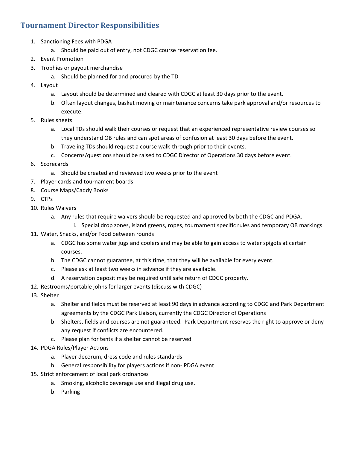### **Tournament Director Responsibilities**

- 1. Sanctioning Fees with PDGA
	- a. Should be paid out of entry, not CDGC course reservation fee.
- 2. Event Promotion
- 3. Trophies or payout merchandise
	- a. Should be planned for and procured by the TD
- 4. Layout
	- a. Layout should be determined and cleared with CDGC at least 30 days prior to the event.
	- b. Often layout changes, basket moving or maintenance concerns take park approval and/or resources to execute.
- 5. Rules sheets
	- a. Local TDs should walk their courses or request that an experienced representative review courses so they understand OB rules and can spot areas of confusion at least 30 days before the event.
	- b. Traveling TDs should request a course walk-through prior to their events.
	- c. Concerns/questions should be raised to CDGC Director of Operations 30 days before event.
- 6. Scorecards
	- a. Should be created and reviewed two weeks prior to the event
- 7. Player cards and tournament boards
- 8. Course Maps/Caddy Books
- 9. CTPs
- 10. Rules Waivers
	- a. Any rules that require waivers should be requested and approved by both the CDGC and PDGA.
		- i. Special drop zones, island greens, ropes, tournament specific rules and temporary OB markings
- 11. Water, Snacks, and/or Food between rounds
	- a. CDGC has some water jugs and coolers and may be able to gain access to water spigots at certain courses.
	- b. The CDGC cannot guarantee, at this time, that they will be available for every event.
	- c. Please ask at least two weeks in advance if they are available.
	- d. A reservation deposit may be required until safe return of CDGC property.
- 12. Restrooms/portable johns for larger events (discuss with CDGC)
- 13. Shelter
	- a. Shelter and fields must be reserved at least 90 days in advance according to CDGC and Park Department agreements by the CDGC Park Liaison, currently the CDGC Director of Operations
	- b. Shelters, fields and courses are not guaranteed. Park Department reserves the right to approve or deny any request if conflicts are encountered.
	- c. Please plan for tents if a shelter cannot be reserved
- 14. PDGA Rules/Player Actions
	- a. Player decorum, dress code and rules standards
	- b. General responsibility for players actions if non- PDGA event
- 15. Strict enforcement of local park ordnances
	- a. Smoking, alcoholic beverage use and illegal drug use.
	- b. Parking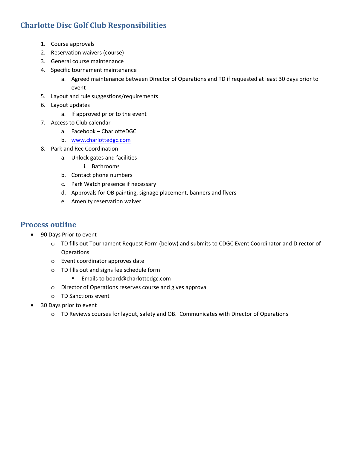## **Charlotte Disc Golf Club Responsibilities**

- 1. Course approvals
- 2. Reservation waivers (course)
- 3. General course maintenance
- 4. Specific tournament maintenance
	- a. Agreed maintenance between Director of Operations and TD if requested at least 30 days prior to event
- 5. Layout and rule suggestions/requirements
- 6. Layout updates
	- a. If approved prior to the event
- 7. Access to Club calendar
	- a. Facebook CharlotteDGC
	- b. www.charlottedgc.com
- 8. Park and Rec Coordination
	- a. Unlock gates and facilities
		- i. Bathrooms
	- b. Contact phone numbers
	- c. Park Watch presence if necessary
	- d. Approvals for OB painting, signage placement, banners and flyers
	- e. Amenity reservation waiver

#### **Process outline**

- 90 Days Prior to event
	- o TD fills out Tournament Request Form (below) and submits to CDGC Event Coordinator and Director of Operations
	- o Event coordinator approves date
	- o TD fills out and signs fee schedule form
		- **Emails to board@charlottedgc.com**
	- o Director of Operations reserves course and gives approval
	- o TD Sanctions event
- 30 Days prior to event
	- o TD Reviews courses for layout, safety and OB. Communicates with Director of Operations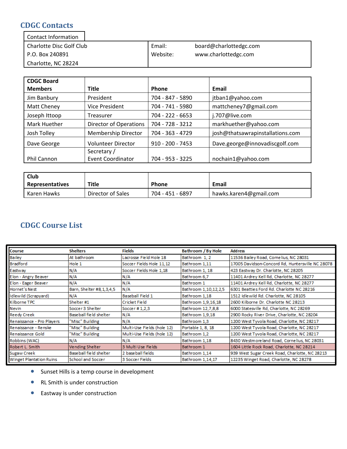### **CDGC Contacts**

| <b>Contact Information</b> |          |                        |
|----------------------------|----------|------------------------|
| Charlotte Disc Golf Club   | Email:   | board@charlottedgc.com |
| P.O. Box 240891            | Website: | www.charlottedgc.com   |
| Charlotte, NC 28224        |          |                        |

| <b>CDGC Board</b>   |                               |                    |                                  |
|---------------------|-------------------------------|--------------------|----------------------------------|
| <b>Members</b>      | Title                         | <b>Phone</b>       | Email                            |
| Jim Banbury         | President                     | 704 - 847 - 5890   | jtban1@yahoo.com                 |
| Matt Cheney         | <b>Vice President</b>         | 704 - 741 - 5980   | mattcheney7@gmail.com            |
| Joseph Ittoop       | Treasurer                     | 704 - 222 - 6653   | j.707@live.com                   |
| <b>Mark Huether</b> | <b>Director of Operations</b> | 704 - 728 - 3212   | markhuether@yahoo.com            |
| Josh Tolley         | Membership Director           | 704 - 363 - 4729   | josh@thatsawrapinstallations.com |
| Dave George         | <b>Volunteer Director</b>     | $910 - 200 - 7453$ | Dave.george@innovadiscgolf.com   |
|                     | Secretary /                   |                    |                                  |
| <b>Phil Cannon</b>  | <b>Event Coordinator</b>      | 704 - 953 - 3225   | nochain1@yahoo.com               |

| <b>Club</b>            |                   |                  |                        |
|------------------------|-------------------|------------------|------------------------|
| <b>Representatives</b> | <b>Title</b>      | <b>Phone</b>     | Email                  |
| Karen Hawks            | Director of Sales | 704 - 451 - 6897 | hawks.karen4@gmail.com |

## **CDGC Course List**

| <b>Course</b>                  | <b>Shelters</b>              | Fields                     | Bathroom / By Hole   | <b>Address</b>                                   |
|--------------------------------|------------------------------|----------------------------|----------------------|--------------------------------------------------|
| <b>Bailey</b>                  | At bathroom                  | Lacrosse Field Hole 18     | Bathroom 1, 2        | 11536 Bailey Road, Cornelius, NC 28031           |
| <b>Bradford</b>                | Hole 1                       | Soccer Fields Hole 11,12   | Bathroom 1,11        | 17005 Davidson-Concord Rd, Huntersville NC 28078 |
| Eastway                        | N/A                          | Soccer Fields Hole 1.18    | Bathroom 1, 18       | 423 Eastway Dr. Charlotte, NC 28205              |
| Elon - Angry Beaver            | N/A                          | N/A                        | Bathroom 6,7         | 11401 Ardrey Kell Rd, Charlotte, NC 28277        |
| Elon - Eager Beaver            | N/A                          | N/A                        | Bathroom 1           | 11401 Ardrey Kell Rd, Charlotte, NC 28277        |
| Hornet's Nest                  | Barn, Shelter #8, 1, 3, 4, 5 | N/A                        | Bathroom 1,10,12,2,5 | 6301 Beatties Ford Rd. Charlotte NC 28216        |
| Idlewild (Scrapyard)           | N/A                          | Baseball Field 1           | Bathroom 1,18        | 1512 Idlewild Rd. Charlotte, NC 28105            |
| Kilborne TPC                   | Shelter #1                   | l Cricket Field            | Bathroom 1,9,16,18   | 2600 Kilborne Dr. Charlotte NC 28213             |
| Nevin                          | Soccer 3 Shelter             | Soccer #1,2,3              | Bathroom 12,7,8,8    | 6000 Statesville Rd, Charlotte, NC 28269         |
| <b>Reedy Creek</b>             | Baseball field shelter       | N/A                        | Bathroom 1,9,18      | 2900 Rocky River Drive, Charlotte, NC 28204      |
| Renaissance - Pro Players      | "Misc" Building              | N/A                        | Bathroom 1.3         | 1200 West Tyvola Road, Charlotte, NC 28217       |
| Renaissance - Renske           | "Misc" Building              | Multi-Use Fields (hole 12) | Portable 1, 8, 18    | 1200 West Tyvola Road, Charlotte, NC 28217       |
| Renaissance Gold               | "Misc" Building              | Multi-Use Fields (hole 12) | Bathroom 1,2         | 1200 West Tyvola Road, Charlotte, NC 28217       |
| Robbins (WAC)                  | N/A                          | N/A                        | Bathroom 1,18        | 8430 Westmoreland Road, Cornelius, NC 28031      |
| Robert L. Smith                | Vending Shelter              | 3 Multi Use Fields         | Bathroom 1           | 1604 Little Rock Road, Charlotte, NC 28214       |
| Sugaw Creek                    | Baseball field shelter       | 2 base ball fields         | Bathroom 1,14        | 939 West Sugar Creek Road, Charlotte, NC 28213   |
| <b>Winget Plantation Ruins</b> | School and Soccer            | 3 Soccer Fields            | Bathroom 1.14.17     | 12235 Winget Road, Charlotte, NC 28278           |

- Sunset Hills is a temp course in development
- RL Smith is under construction
- Eastway is under construction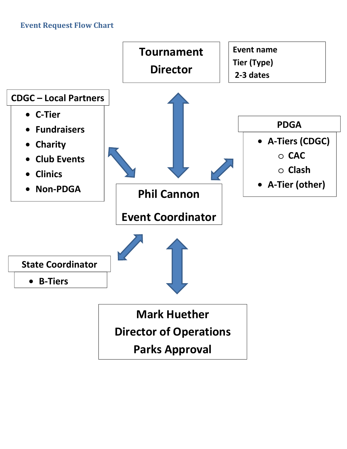## **Event Request Flow Chart**

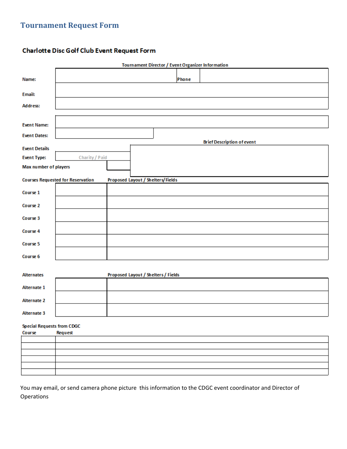## **Tournament Request Form**

#### **Charlotte Disc Golf Club Event Request Form**

|                                             |                                          | <b>Tournament Director / Event Organizer Information</b> |       |                                   |  |  |
|---------------------------------------------|------------------------------------------|----------------------------------------------------------|-------|-----------------------------------|--|--|
| Name:                                       |                                          |                                                          | Phone |                                   |  |  |
| Email:                                      |                                          |                                                          |       |                                   |  |  |
| Address:                                    |                                          |                                                          |       |                                   |  |  |
| <b>Event Name:</b>                          |                                          |                                                          |       |                                   |  |  |
| <b>Event Dates:</b>                         |                                          |                                                          |       | <b>Brief Description of event</b> |  |  |
| <b>Event Details</b>                        |                                          |                                                          |       |                                   |  |  |
| <b>Event Type:</b>                          | Charity / Paid                           |                                                          |       |                                   |  |  |
| Max number of players                       |                                          |                                                          |       |                                   |  |  |
|                                             | <b>Courses Requested for Reservation</b> | Proposed Layout / Shelters/Fields                        |       |                                   |  |  |
| Course 1                                    |                                          |                                                          |       |                                   |  |  |
| Course 2                                    |                                          |                                                          |       |                                   |  |  |
| Course 3                                    |                                          |                                                          |       |                                   |  |  |
| Course 4                                    |                                          |                                                          |       |                                   |  |  |
| Course 5                                    |                                          |                                                          |       |                                   |  |  |
| Course 6                                    |                                          |                                                          |       |                                   |  |  |
| <b>Alternates</b>                           |                                          | Proposed Layout / Shelters / Fields                      |       |                                   |  |  |
| Alternate 1                                 |                                          |                                                          |       |                                   |  |  |
| <b>Alternate 2</b>                          |                                          |                                                          |       |                                   |  |  |
| Alternate 3                                 |                                          |                                                          |       |                                   |  |  |
| <b>Special Requests from CDGC</b><br>Course | Request                                  |                                                          |       |                                   |  |  |
|                                             |                                          |                                                          |       |                                   |  |  |
|                                             |                                          |                                                          |       |                                   |  |  |
|                                             |                                          |                                                          |       |                                   |  |  |
|                                             |                                          |                                                          |       |                                   |  |  |
|                                             |                                          |                                                          |       |                                   |  |  |
|                                             |                                          |                                                          |       |                                   |  |  |

You may email, or send camera phone picture this information to the CDGC event coordinator and Director of Operations